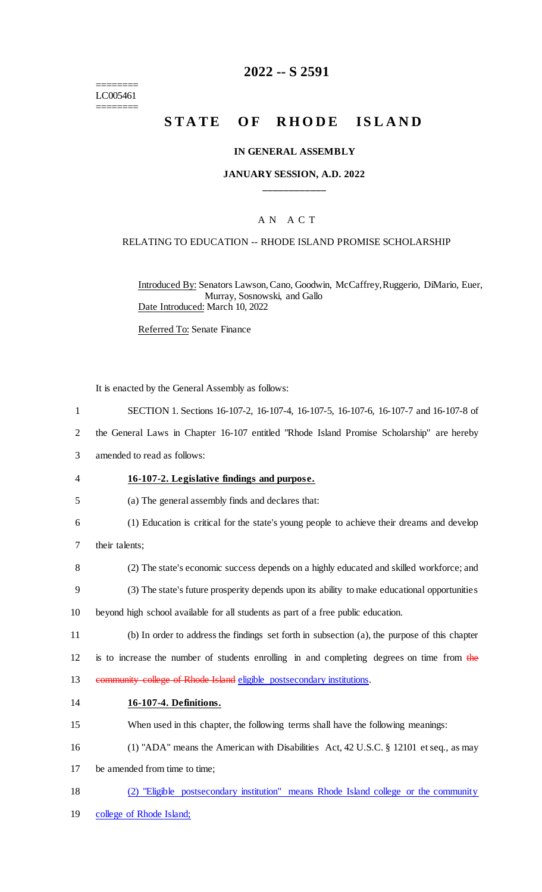======== LC005461 ========

## **2022 -- S 2591**

# STATE OF RHODE ISLAND

#### **IN GENERAL ASSEMBLY**

## **JANUARY SESSION, A.D. 2022 \_\_\_\_\_\_\_\_\_\_\_\_**

## A N A C T

#### RELATING TO EDUCATION -- RHODE ISLAND PROMISE SCHOLARSHIP

Introduced By: Senators Lawson, Cano, Goodwin, McCaffrey, Ruggerio, DiMario, Euer, Murray, Sosnowski, and Gallo Date Introduced: March 10, 2022

Referred To: Senate Finance

It is enacted by the General Assembly as follows:

1 SECTION 1. Sections 16-107-2, 16-107-4, 16-107-5, 16-107-6, 16-107-7 and 16-107-8 of

2 the General Laws in Chapter 16-107 entitled "Rhode Island Promise Scholarship" are hereby

- 3 amended to read as follows:
- 4 **16-107-2. Legislative findings and purpose.**
- 5 (a) The general assembly finds and declares that:
- 6 (1) Education is critical for the state's young people to achieve their dreams and develop
- 7 their talents;
- 8 (2) The state's economic success depends on a highly educated and skilled workforce; and
- 9 (3) The state's future prosperity depends upon its ability to make educational opportunities
- 10 beyond high school available for all students as part of a free public education.
- 11 (b) In order to address the findings set forth in subsection (a), the purpose of this chapter

12 is to increase the number of students enrolling in and completing degrees on time from the 13 community college of Rhode Island eligible postsecondary institutions.

### 14 **16-107-4. Definitions.**

- 15 When used in this chapter, the following terms shall have the following meanings:
- 16 (1) "ADA" means the American with Disabilities Act, 42 U.S.C. § 12101 et seq., as may
- 17 be amended from time to time;
- 18 (2) "Eligible postsecondary institution" means Rhode Island college or the community
- 19 college of Rhode Island;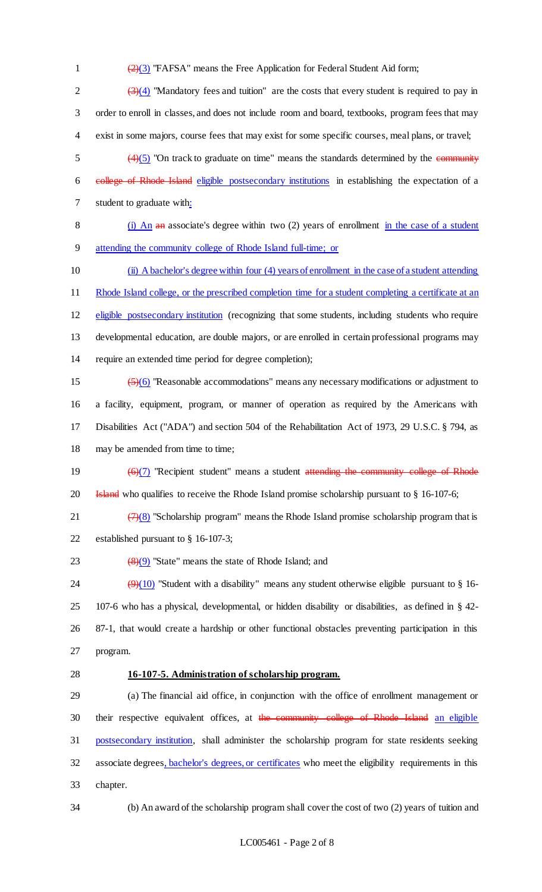1  $\left(\frac{2}{3}\right)$  "FAFSA" means the Free Application for Federal Student Aid form;

 $\frac{(3)(4)}{10}$  "Mandatory fees and tuition" are the costs that every student is required to pay in 3 order to enroll in classes, and does not include room and board, textbooks, program fees that may 4 exist in some majors, course fees that may exist for some specific courses, meal plans, or travel;

 $\frac{(4)}{5}$  "On track to graduate on time" means the standards determined by the community 6 college of Rhode Island eligible postsecondary institutions in establishing the expectation of a 7 student to graduate with:

8 (i) An an associate's degree within two (2) years of enrollment in the case of a student 9 attending the community college of Rhode Island full-time; or

 (ii) A bachelor's degree within four (4) years of enrollment in the case of a student attending 11 Rhode Island college, or the prescribed completion time for a student completing a certificate at an eligible postsecondary institution (recognizing that some students, including students who require developmental education, are double majors, or are enrolled in certain professional programs may require an extended time period for degree completion);

 $\left(\frac{5}{6}\right)$  "Reasonable accommodations" means any necessary modifications or adjustment to a facility, equipment, program, or manner of operation as required by the Americans with Disabilities Act ("ADA") and section 504 of the Rehabilitation Act of 1973, 29 U.S.C. § 794, as 18 may be amended from time to time;

19  $\left(\frac{6}{7}\right)$  "Recipient student" means a student attending the community college of Rhode 20 **Island** who qualifies to receive the Rhode Island promise scholarship pursuant to § 16-107-6;

21  $(7)(8)$  "Scholarship program" means the Rhode Island promise scholarship program that is

22 established pursuant to § 16-107-3;

23  $(8)(9)$  "State" means the state of Rhode Island; and

 $(9)(10)$  "Student with a disability" means any student otherwise eligible pursuant to § 16- 107-6 who has a physical, developmental, or hidden disability or disabilities, as defined in § 42- 87-1, that would create a hardship or other functional obstacles preventing participation in this 27 program.

### 28 **16-107-5. Administration of scholarship program.**

29 (a) The financial aid office, in conjunction with the office of enrollment management or 30 their respective equivalent offices, at the community college of Rhode Island an eligible 31 postsecondary institution, shall administer the scholarship program for state residents seeking 32 associate degrees, bachelor's degrees, or certificates who meet the eligibility requirements in this 33 chapter.

34 (b) An award of the scholarship program shall cover the cost of two (2) years of tuition and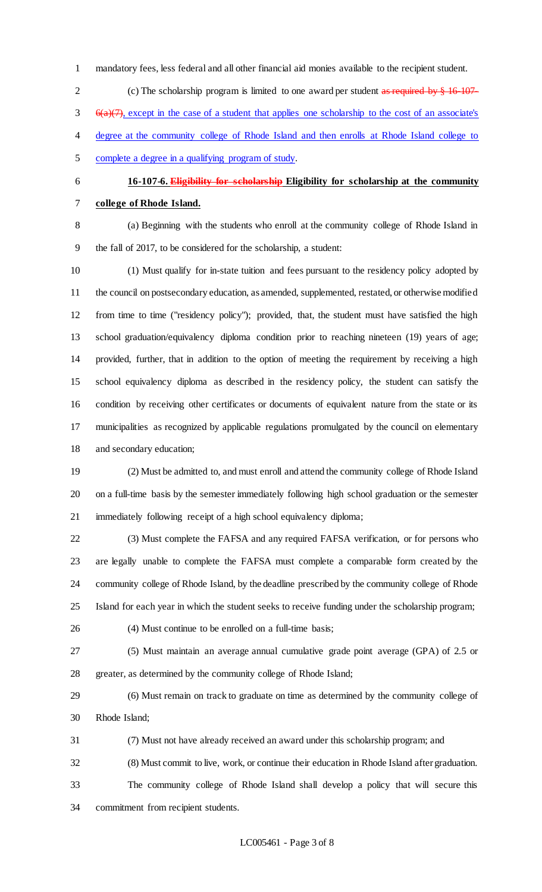- mandatory fees, less federal and all other financial aid monies available to the recipient student.
- 2 (c) The scholarship program is limited to one award per student as required by § 16-107- $\frac{6(a)(7)}{2}$ , except in the case of a student that applies one scholarship to the cost of an associate's 4 degree at the community college of Rhode Island and then enrolls at Rhode Island college to complete a degree in a qualifying program of study.
- **16-107-6. Eligibility for scholarship Eligibility for scholarship at the community college of Rhode Island.**

 (a) Beginning with the students who enroll at the community college of Rhode Island in the fall of 2017, to be considered for the scholarship, a student:

 (1) Must qualify for in-state tuition and fees pursuant to the residency policy adopted by the council on postsecondary education, as amended, supplemented, restated, or otherwise modified from time to time ("residency policy"); provided, that, the student must have satisfied the high school graduation/equivalency diploma condition prior to reaching nineteen (19) years of age; provided, further, that in addition to the option of meeting the requirement by receiving a high school equivalency diploma as described in the residency policy, the student can satisfy the condition by receiving other certificates or documents of equivalent nature from the state or its municipalities as recognized by applicable regulations promulgated by the council on elementary and secondary education;

 (2) Must be admitted to, and must enroll and attend the community college of Rhode Island on a full-time basis by the semester immediately following high school graduation or the semester immediately following receipt of a high school equivalency diploma;

 (3) Must complete the FAFSA and any required FAFSA verification, or for persons who are legally unable to complete the FAFSA must complete a comparable form created by the community college of Rhode Island, by the deadline prescribed by the community college of Rhode Island for each year in which the student seeks to receive funding under the scholarship program;

(4) Must continue to be enrolled on a full-time basis;

 (5) Must maintain an average annual cumulative grade point average (GPA) of 2.5 or greater, as determined by the community college of Rhode Island;

 (6) Must remain on track to graduate on time as determined by the community college of Rhode Island;

(7) Must not have already received an award under this scholarship program; and

 (8) Must commit to live, work, or continue their education in Rhode Island after graduation. The community college of Rhode Island shall develop a policy that will secure this commitment from recipient students.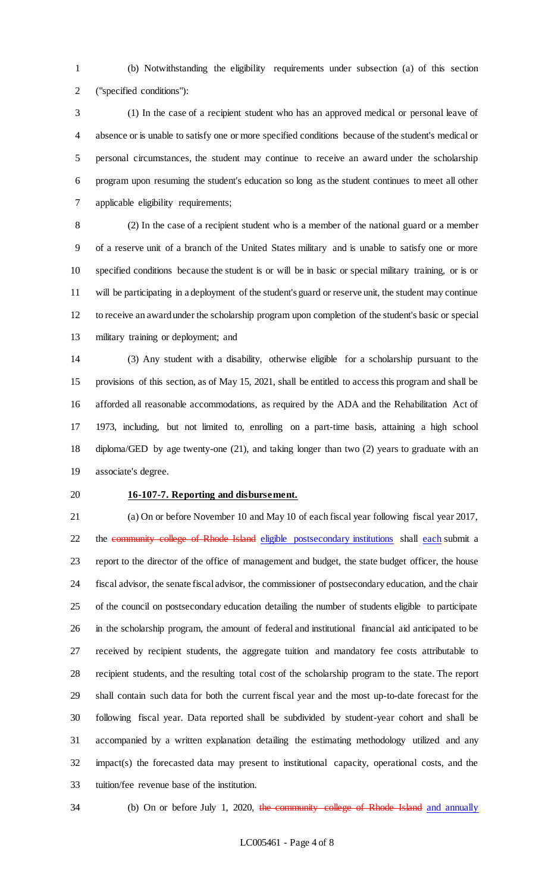(b) Notwithstanding the eligibility requirements under subsection (a) of this section ("specified conditions"):

 (1) In the case of a recipient student who has an approved medical or personal leave of absence or is unable to satisfy one or more specified conditions because of the student's medical or personal circumstances, the student may continue to receive an award under the scholarship program upon resuming the student's education so long as the student continues to meet all other applicable eligibility requirements;

 (2) In the case of a recipient student who is a member of the national guard or a member of a reserve unit of a branch of the United States military and is unable to satisfy one or more specified conditions because the student is or will be in basic or special military training, or is or will be participating in a deployment of the student's guard or reserve unit, the student may continue to receive an award under the scholarship program upon completion of the student's basic or special military training or deployment; and

 (3) Any student with a disability, otherwise eligible for a scholarship pursuant to the provisions of this section, as of May 15, 2021, shall be entitled to access this program and shall be afforded all reasonable accommodations, as required by the ADA and the Rehabilitation Act of 1973, including, but not limited to, enrolling on a part-time basis, attaining a high school diploma/GED by age twenty-one (21), and taking longer than two (2) years to graduate with an associate's degree.

#### **16-107-7. Reporting and disbursement.**

 (a) On or before November 10 and May 10 of each fiscal year following fiscal year 2017, 22 the community college of Rhode Island eligible postsecondary institutions shall each submit a report to the director of the office of management and budget, the state budget officer, the house fiscal advisor, the senate fiscal advisor, the commissioner of postsecondary education, and the chair of the council on postsecondary education detailing the number of students eligible to participate in the scholarship program, the amount of federal and institutional financial aid anticipated to be received by recipient students, the aggregate tuition and mandatory fee costs attributable to recipient students, and the resulting total cost of the scholarship program to the state. The report shall contain such data for both the current fiscal year and the most up-to-date forecast for the following fiscal year. Data reported shall be subdivided by student-year cohort and shall be accompanied by a written explanation detailing the estimating methodology utilized and any impact(s) the forecasted data may present to institutional capacity, operational costs, and the tuition/fee revenue base of the institution.

34 (b) On or before July 1, 2020, the community college of Rhode Island and annually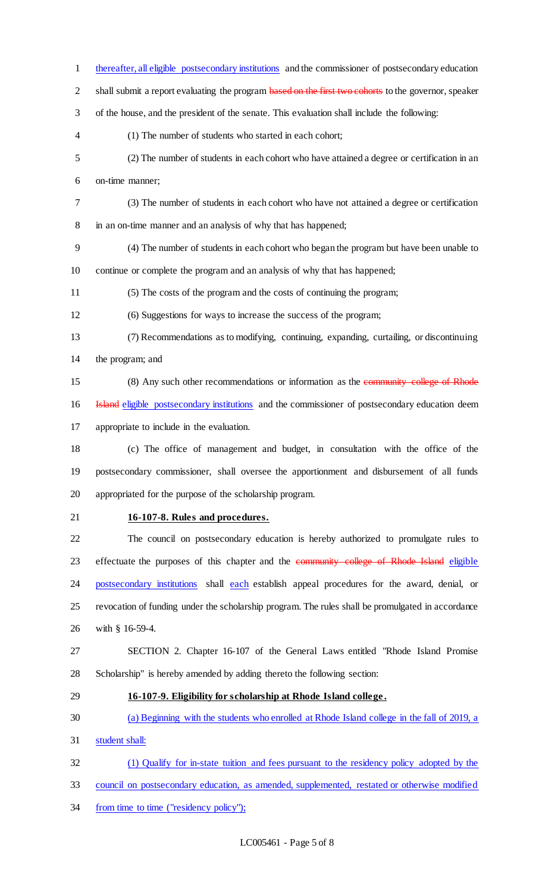thereafter, all eligible postsecondary institutions and the commissioner of postsecondary education 2 shall submit a report evaluating the program based on the first two cohorts to the governor, speaker of the house, and the president of the senate. This evaluation shall include the following: (1) The number of students who started in each cohort; (2) The number of students in each cohort who have attained a degree or certification in an on-time manner; (3) The number of students in each cohort who have not attained a degree or certification in an on-time manner and an analysis of why that has happened; (4) The number of students in each cohort who began the program but have been unable to continue or complete the program and an analysis of why that has happened; (5) The costs of the program and the costs of continuing the program; (6) Suggestions for ways to increase the success of the program; (7) Recommendations as to modifying, continuing, expanding, curtailing, or discontinuing the program; and (8) Any such other recommendations or information as the community college of Rhode 16 Island eligible postsecondary institutions and the commissioner of postsecondary education deem appropriate to include in the evaluation. (c) The office of management and budget, in consultation with the office of the postsecondary commissioner, shall oversee the apportionment and disbursement of all funds appropriated for the purpose of the scholarship program. **16-107-8. Rules and procedures.** The council on postsecondary education is hereby authorized to promulgate rules to 23 effectuate the purposes of this chapter and the community college of Rhode Island eligible 24 postsecondary institutions shall each establish appeal procedures for the award, denial, or revocation of funding under the scholarship program. The rules shall be promulgated in accordance with § 16-59-4. SECTION 2. Chapter 16-107 of the General Laws entitled "Rhode Island Promise Scholarship" is hereby amended by adding thereto the following section: **16-107-9. Eligibility for scholarship at Rhode Island college .**  (a) Beginning with the students who enrolled at Rhode Island college in the fall of 2019, a student shall: (1) Qualify for in-state tuition and fees pursuant to the residency policy adopted by the council on postsecondary education, as amended, supplemented, restated or otherwise modified

34 from time to time ("residency policy");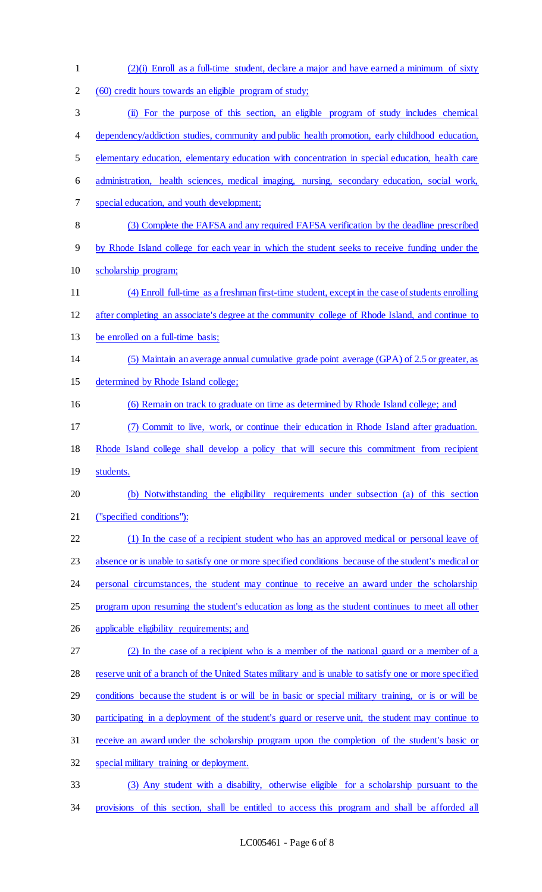| $\mathbf{1}$   | $(2)(i)$ Enroll as a full-time student, declare a major and have earned a minimum of sixty            |
|----------------|-------------------------------------------------------------------------------------------------------|
| $\overline{2}$ | (60) credit hours towards an eligible program of study;                                               |
| 3              | (ii) For the purpose of this section, an eligible program of study includes chemical                  |
| $\overline{4}$ | dependency/addiction studies, community and public health promotion, early childhood education,       |
| 5              | elementary education, elementary education with concentration in special education, health care       |
| 6              | administration, health sciences, medical imaging, nursing, secondary education, social work,          |
| $\tau$         | special education, and youth development;                                                             |
| 8              | (3) Complete the FAFSA and any required FAFSA verification by the deadline prescribed                 |
| $\overline{9}$ | by Rhode Island college for each year in which the student seeks to receive funding under the         |
| 10             | scholarship program;                                                                                  |
| 11             | (4) Enroll full-time as a freshman first-time student, except in the case of students enrolling       |
| 12             | after completing an associate's degree at the community college of Rhode Island, and continue to      |
| 13             | be enrolled on a full-time basis;                                                                     |
| 14             | (5) Maintain an average annual cumulative grade point average (GPA) of 2.5 or greater, as             |
| 15             | determined by Rhode Island college;                                                                   |
| 16             | (6) Remain on track to graduate on time as determined by Rhode Island college; and                    |
| 17             | (7) Commit to live, work, or continue their education in Rhode Island after graduation.               |
| 18             | Rhode Island college shall develop a policy that will secure this commitment from recipient           |
| 19             | students.                                                                                             |
| 20             | (b) Notwithstanding the eligibility requirements under subsection (a) of this section                 |
| 21             | ("specified conditions"):                                                                             |
| 22             | (1) In the case of a recipient student who has an approved medical or personal leave of               |
| 23             | absence or is unable to satisfy one or more specified conditions because of the student's medical or  |
| 24             | personal circumstances, the student may continue to receive an award under the scholarship            |
| 25             | program upon resuming the student's education as long as the student continues to meet all other      |
| 26             | applicable eligibility requirements; and                                                              |
| 27             | (2) In the case of a recipient who is a member of the national guard or a member of a                 |
| 28             | reserve unit of a branch of the United States military and is unable to satisfy one or more specified |
| 29             | conditions because the student is or will be in basic or special military training, or is or will be  |
| 30             | participating in a deployment of the student's guard or reserve unit, the student may continue to     |
| 31             | receive an award under the scholarship program upon the completion of the student's basic or          |
| 32             | special military training or deployment.                                                              |
| 33             | (3) Any student with a disability, otherwise eligible for a scholarship pursuant to the               |
| 34             | provisions of this section, shall be entitled to access this program and shall be afforded all        |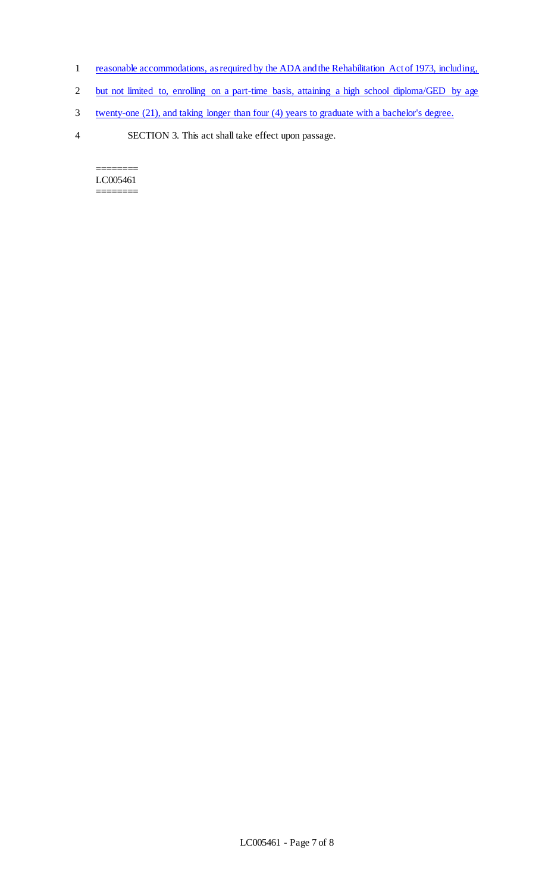- 1 reasonable accommodations, as required by the ADA and the Rehabilitation Act of 1973, including,
- 2 but not limited to, enrolling on a part-time basis, attaining a high school diploma/GED by age
- 3 twenty-one (21), and taking longer than four (4) years to graduate with a bachelor's degree.
- 4 SECTION 3. This act shall take effect upon passage.

======== LC005461 ========